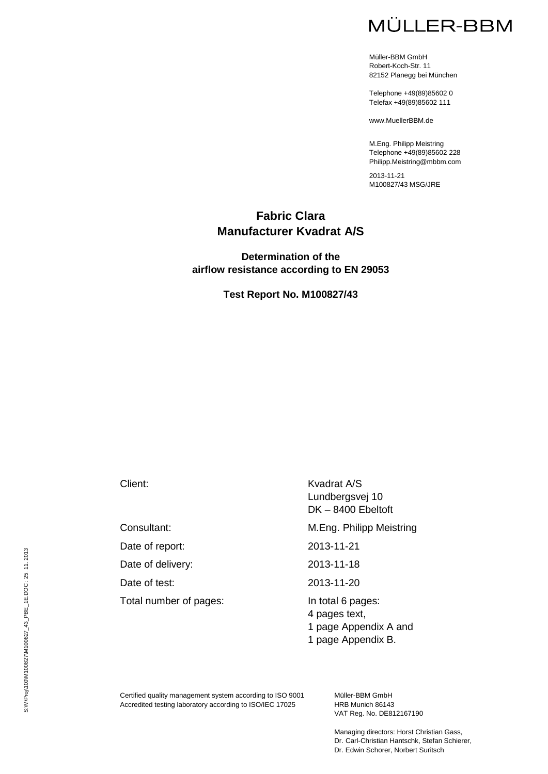# **MÜLLER-BBM**

Müller-BBM GmbH Robert-Koch-Str. 11 82152 Planegg bei München

Telephone +49(89)85602 0 Telefax +49(89)85602 111

www.MuellerBBM.de

M.Eng. Philipp Meistring Telephone +49(89)85602 228 Philipp.Meistring@mbbm.com

2013-11-21 M100827/43 MSG/JRE

### **Fabric Clara Manufacturer Kvadrat A/S**

#### **Determination of the airflow resistance according to EN 29053**

**Test Report No. M100827/43**

Date of report: 2013-11-21

Date of delivery: 2013-11-18

Date of test: 2013-11-20

Total number of pages: In total 6 pages:

Client: Kvadrat A/S Lundbergsvej 10 DK – 8400 Ebeltoft

Consultant: M.Eng. Philipp Meistring

- 4 pages text,
- 1 page Appendix A and
- 1 page Appendix B.

Certified quality management system according to ISO 9001 Accredited testing laboratory according to ISO/IEC 17025

Müller-BBM GmbH HRB Munich 86143 VAT Reg. No. DE812167190

Managing directors: Horst Christian Gass, Dr. Carl-Christian Hantschk, Stefan Schierer, Dr. Edwin Schorer, Norbert Suritsch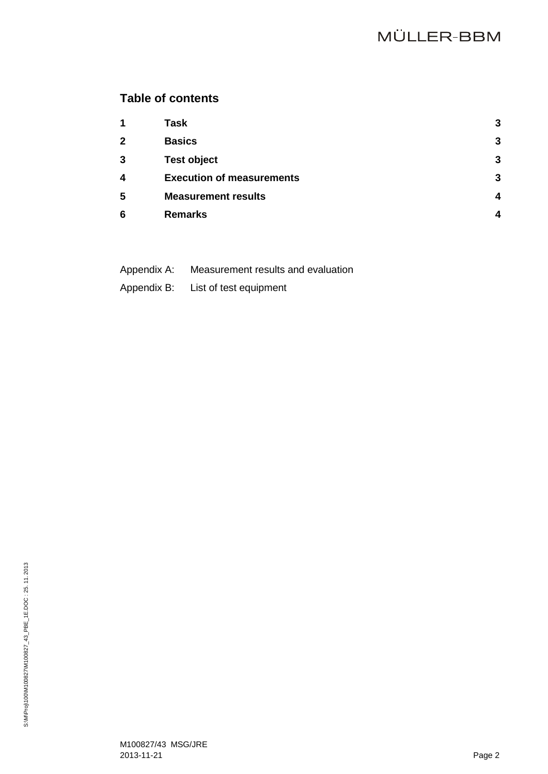## **Table of contents**

| $\mathbf 1$  | <b>Task</b>                      | 3 |
|--------------|----------------------------------|---|
| $\mathbf{2}$ | <b>Basics</b>                    | 3 |
| 3            | <b>Test object</b>               | 3 |
| 4            | <b>Execution of measurements</b> | 3 |
| 5            | <b>Measurement results</b>       | Δ |
| 6            | <b>Remarks</b>                   |   |

- Appendix A: Measurement results and evaluation
- Appendix B: List of test equipment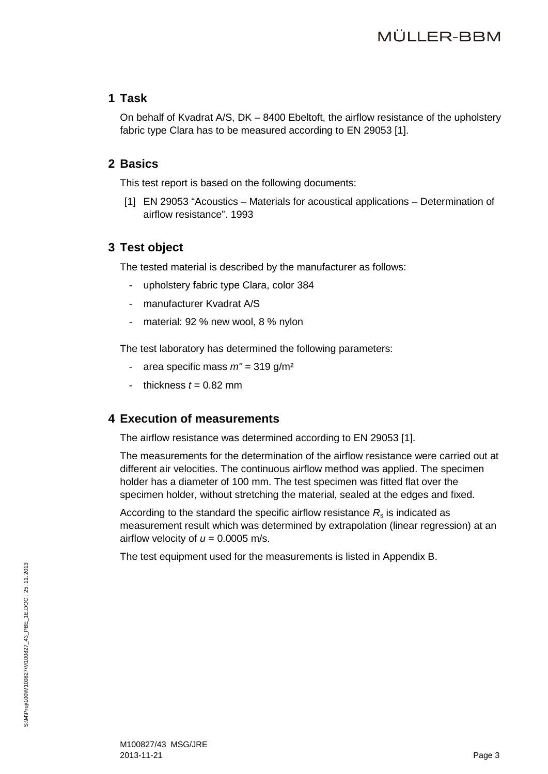### <span id="page-2-0"></span>**1 Task**

On behalf of Kvadrat A/S, DK – 8400 Ebeltoft, the airflow resistance of the upholstery fabric type Clara has to be measured according to EN 29053 [\[1\].](#page-2-4)

### <span id="page-2-4"></span><span id="page-2-1"></span>**2 Basics**

This test report is based on the following documents:

[1] EN 29053 "Acoustics – Materials for acoustical applications – Determination of airflow resistance". 1993

### <span id="page-2-2"></span>**3 Test object**

The tested material is described by the manufacturer as follows:

- upholstery fabric type Clara, color 384
- manufacturer Kvadrat A/S
- material: 92 % new wool, 8 % nylon

The test laboratory has determined the following parameters:

- area specific mass *m"* = 319 g/m²
- thickness  $t = 0.82$  mm

### <span id="page-2-3"></span>**4 Execution of measurements**

The airflow resistance was determined according to EN 29053 [\[1\].](#page-2-4)

The measurements for the determination of the airflow resistance were carried out at different air velocities. The continuous airflow method was applied. The specimen holder has a diameter of 100 mm. The test specimen was fitted flat over the specimen holder, without stretching the material, sealed at the edges and fixed.

According to the standard the specific airflow resistance  $R<sub>s</sub>$  is indicated as measurement result which was determined by extrapolation (linear regression) at an airflow velocity of  $u = 0.0005$  m/s.

The test equipment used for the measurements is listed in Appendix B.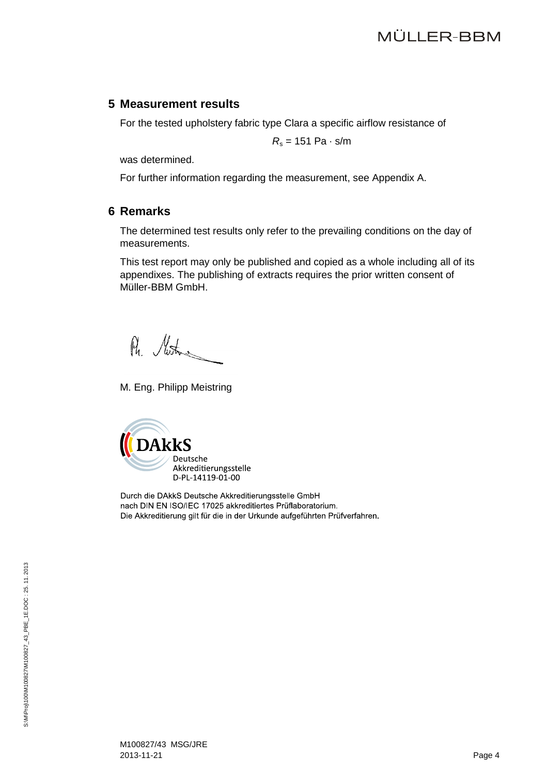#### <span id="page-3-0"></span>**5 Measurement results**

For the tested upholstery fabric type Clara a specific airflow resistance of

 $R_s = 151 \text{ Pa} \cdot \text{s/m}$ 

was determined.

For further information regarding the measurement, see Appendix A.

### <span id="page-3-1"></span>**6 Remarks**

The determined test results only refer to the prevailing conditions on the day of measurements.

This test report may only be published and copied as a whole including all of its appendixes. The publishing of extracts requires the prior written consent of Müller-BBM GmbH.

Ph. Motors

M. Eng. Philipp Meistring



Durch die DAkkS Deutsche Akkreditierungsstelle GmbH nach DIN EN ISO/IEC 17025 akkreditiertes Prüflaboratorium. Die Akkreditierung gilt für die in der Urkunde aufgeführten Prüfverfahren.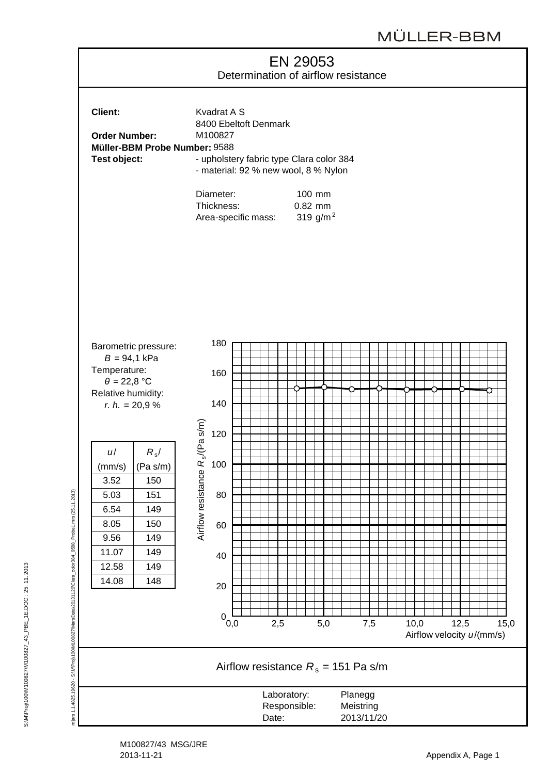

S:\M\Proj\100\M100827\M100827\_43\_PBE\_1E.DOC : 25. 11. 2013

S:\M\Proj\100\M100827\M100827\_43\_PBE\_1E.DOC:25.11.2013